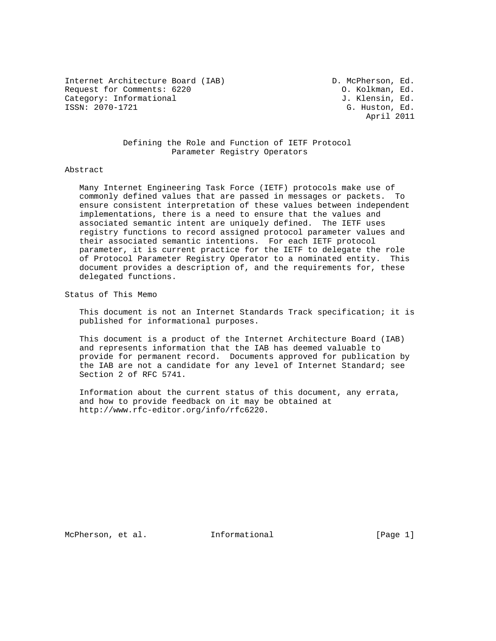Internet Architecture Board (IAB) D. McPherson, Ed. Request for Comments: 6220 C. Kolkman, Ed. Category: Informational J. Klensin, Ed.<br>
ISSN: 2070-1721 G. Huston. Ed.

G. Huston, Ed. April 2011

# Defining the Role and Function of IETF Protocol Parameter Registry Operators

### Abstract

 Many Internet Engineering Task Force (IETF) protocols make use of commonly defined values that are passed in messages or packets. To ensure consistent interpretation of these values between independent implementations, there is a need to ensure that the values and associated semantic intent are uniquely defined. The IETF uses registry functions to record assigned protocol parameter values and their associated semantic intentions. For each IETF protocol parameter, it is current practice for the IETF to delegate the role of Protocol Parameter Registry Operator to a nominated entity. This document provides a description of, and the requirements for, these delegated functions.

Status of This Memo

 This document is not an Internet Standards Track specification; it is published for informational purposes.

 This document is a product of the Internet Architecture Board (IAB) and represents information that the IAB has deemed valuable to provide for permanent record. Documents approved for publication by the IAB are not a candidate for any level of Internet Standard; see Section 2 of RFC 5741.

 Information about the current status of this document, any errata, and how to provide feedback on it may be obtained at http://www.rfc-editor.org/info/rfc6220.

McPherson, et al. Informational [Page 1]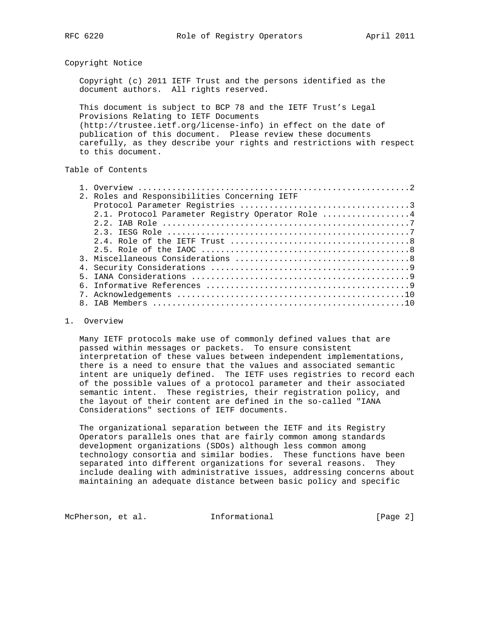### Copyright Notice

 Copyright (c) 2011 IETF Trust and the persons identified as the document authors. All rights reserved.

 This document is subject to BCP 78 and the IETF Trust's Legal Provisions Relating to IETF Documents (http://trustee.ietf.org/license-info) in effect on the date of publication of this document. Please review these documents carefully, as they describe your rights and restrictions with respect to this document.

# Table of Contents

|  | 2. Roles and Responsibilities Concerning IETF    |
|--|--------------------------------------------------|
|  |                                                  |
|  | 2.1. Protocol Parameter Registry Operator Role 4 |
|  |                                                  |
|  |                                                  |
|  |                                                  |
|  |                                                  |
|  |                                                  |
|  |                                                  |
|  |                                                  |
|  |                                                  |
|  |                                                  |
|  |                                                  |

### 1. Overview

 Many IETF protocols make use of commonly defined values that are passed within messages or packets. To ensure consistent interpretation of these values between independent implementations, there is a need to ensure that the values and associated semantic intent are uniquely defined. The IETF uses registries to record each of the possible values of a protocol parameter and their associated semantic intent. These registries, their registration policy, and the layout of their content are defined in the so-called "IANA Considerations" sections of IETF documents.

 The organizational separation between the IETF and its Registry Operators parallels ones that are fairly common among standards development organizations (SDOs) although less common among technology consortia and similar bodies. These functions have been separated into different organizations for several reasons. They include dealing with administrative issues, addressing concerns about maintaining an adequate distance between basic policy and specific

McPherson, et al. Informational [Page 2]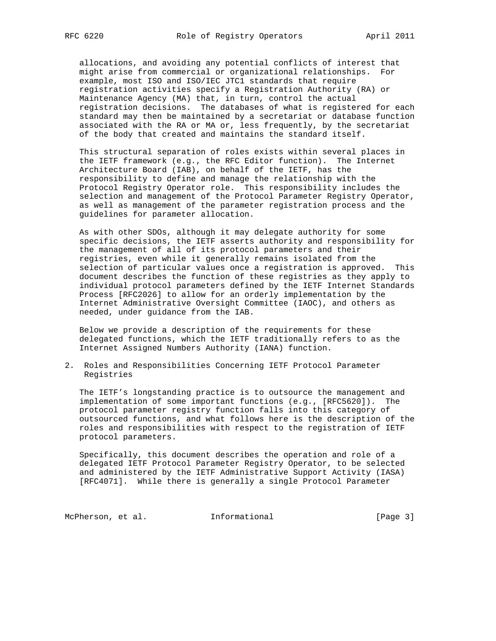allocations, and avoiding any potential conflicts of interest that might arise from commercial or organizational relationships. For example, most ISO and ISO/IEC JTC1 standards that require registration activities specify a Registration Authority (RA) or Maintenance Agency (MA) that, in turn, control the actual registration decisions. The databases of what is registered for each standard may then be maintained by a secretariat or database function associated with the RA or MA or, less frequently, by the secretariat of the body that created and maintains the standard itself.

 This structural separation of roles exists within several places in the IETF framework (e.g., the RFC Editor function). The Internet Architecture Board (IAB), on behalf of the IETF, has the responsibility to define and manage the relationship with the Protocol Registry Operator role. This responsibility includes the selection and management of the Protocol Parameter Registry Operator, as well as management of the parameter registration process and the guidelines for parameter allocation.

 As with other SDOs, although it may delegate authority for some specific decisions, the IETF asserts authority and responsibility for the management of all of its protocol parameters and their registries, even while it generally remains isolated from the selection of particular values once a registration is approved. This document describes the function of these registries as they apply to individual protocol parameters defined by the IETF Internet Standards Process [RFC2026] to allow for an orderly implementation by the Internet Administrative Oversight Committee (IAOC), and others as needed, under guidance from the IAB.

 Below we provide a description of the requirements for these delegated functions, which the IETF traditionally refers to as the Internet Assigned Numbers Authority (IANA) function.

2. Roles and Responsibilities Concerning IETF Protocol Parameter Registries

 The IETF's longstanding practice is to outsource the management and implementation of some important functions (e.g., [RFC5620]). The protocol parameter registry function falls into this category of outsourced functions, and what follows here is the description of the roles and responsibilities with respect to the registration of IETF protocol parameters.

 Specifically, this document describes the operation and role of a delegated IETF Protocol Parameter Registry Operator, to be selected and administered by the IETF Administrative Support Activity (IASA) [RFC4071]. While there is generally a single Protocol Parameter

McPherson, et al. 1nformational 1999 [Page 3]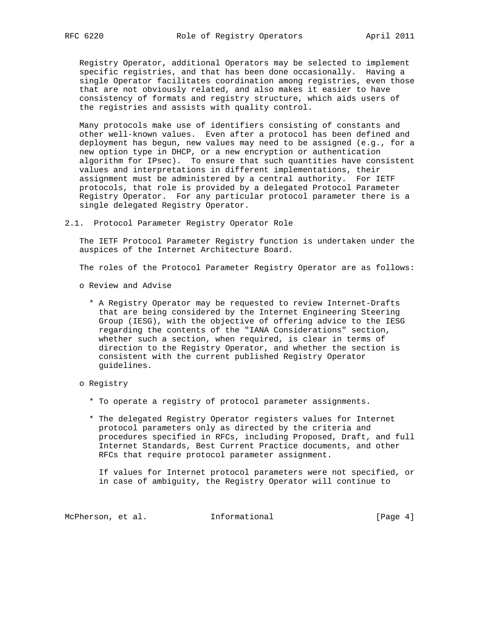Registry Operator, additional Operators may be selected to implement specific registries, and that has been done occasionally. Having a single Operator facilitates coordination among registries, even those that are not obviously related, and also makes it easier to have consistency of formats and registry structure, which aids users of the registries and assists with quality control.

 Many protocols make use of identifiers consisting of constants and other well-known values. Even after a protocol has been defined and deployment has begun, new values may need to be assigned (e.g., for a new option type in DHCP, or a new encryption or authentication algorithm for IPsec). To ensure that such quantities have consistent values and interpretations in different implementations, their assignment must be administered by a central authority. For IETF protocols, that role is provided by a delegated Protocol Parameter Registry Operator. For any particular protocol parameter there is a single delegated Registry Operator.

2.1. Protocol Parameter Registry Operator Role

 The IETF Protocol Parameter Registry function is undertaken under the auspices of the Internet Architecture Board.

The roles of the Protocol Parameter Registry Operator are as follows:

- o Review and Advise
	- \* A Registry Operator may be requested to review Internet-Drafts that are being considered by the Internet Engineering Steering Group (IESG), with the objective of offering advice to the IESG regarding the contents of the "IANA Considerations" section, whether such a section, when required, is clear in terms of direction to the Registry Operator, and whether the section is consistent with the current published Registry Operator guidelines.
- o Registry
	- \* To operate a registry of protocol parameter assignments.
	- \* The delegated Registry Operator registers values for Internet protocol parameters only as directed by the criteria and procedures specified in RFCs, including Proposed, Draft, and full Internet Standards, Best Current Practice documents, and other RFCs that require protocol parameter assignment.

 If values for Internet protocol parameters were not specified, or in case of ambiguity, the Registry Operator will continue to

McPherson, et al. 1nformational 1999 [Page 4]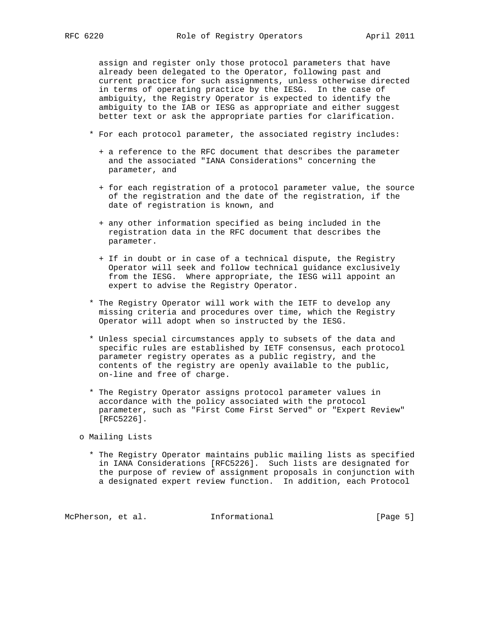assign and register only those protocol parameters that have already been delegated to the Operator, following past and current practice for such assignments, unless otherwise directed in terms of operating practice by the IESG. In the case of ambiguity, the Registry Operator is expected to identify the ambiguity to the IAB or IESG as appropriate and either suggest better text or ask the appropriate parties for clarification.

- \* For each protocol parameter, the associated registry includes:
	- + a reference to the RFC document that describes the parameter and the associated "IANA Considerations" concerning the parameter, and
	- + for each registration of a protocol parameter value, the source of the registration and the date of the registration, if the date of registration is known, and
	- + any other information specified as being included in the registration data in the RFC document that describes the parameter.
	- + If in doubt or in case of a technical dispute, the Registry Operator will seek and follow technical guidance exclusively from the IESG. Where appropriate, the IESG will appoint an expert to advise the Registry Operator.
- \* The Registry Operator will work with the IETF to develop any missing criteria and procedures over time, which the Registry Operator will adopt when so instructed by the IESG.
- \* Unless special circumstances apply to subsets of the data and specific rules are established by IETF consensus, each protocol parameter registry operates as a public registry, and the contents of the registry are openly available to the public, on-line and free of charge.
- \* The Registry Operator assigns protocol parameter values in accordance with the policy associated with the protocol parameter, such as "First Come First Served" or "Expert Review" [RFC5226].

o Mailing Lists

 \* The Registry Operator maintains public mailing lists as specified in IANA Considerations [RFC5226]. Such lists are designated for the purpose of review of assignment proposals in conjunction with a designated expert review function. In addition, each Protocol

McPherson, et al. Informational [Page 5]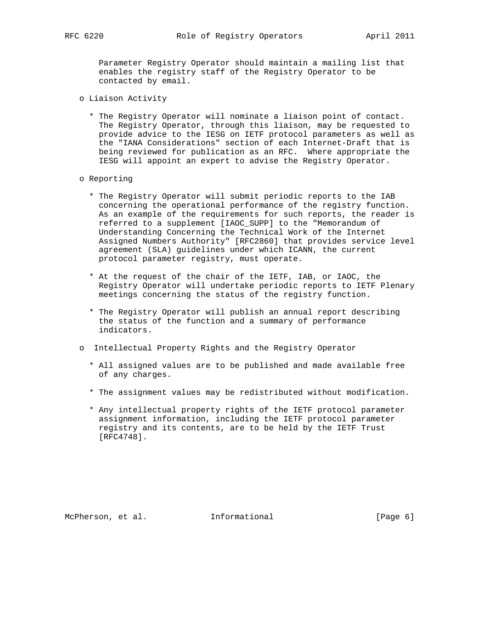Parameter Registry Operator should maintain a mailing list that enables the registry staff of the Registry Operator to be contacted by email.

- o Liaison Activity
	- \* The Registry Operator will nominate a liaison point of contact. The Registry Operator, through this liaison, may be requested to provide advice to the IESG on IETF protocol parameters as well as the "IANA Considerations" section of each Internet-Draft that is being reviewed for publication as an RFC. Where appropriate the IESG will appoint an expert to advise the Registry Operator.
- o Reporting
	- \* The Registry Operator will submit periodic reports to the IAB concerning the operational performance of the registry function. As an example of the requirements for such reports, the reader is referred to a supplement [IAOC\_SUPP] to the "Memorandum of Understanding Concerning the Technical Work of the Internet Assigned Numbers Authority" [RFC2860] that provides service level agreement (SLA) guidelines under which ICANN, the current protocol parameter registry, must operate.
	- \* At the request of the chair of the IETF, IAB, or IAOC, the Registry Operator will undertake periodic reports to IETF Plenary meetings concerning the status of the registry function.
	- \* The Registry Operator will publish an annual report describing the status of the function and a summary of performance indicators.
- o Intellectual Property Rights and the Registry Operator
	- \* All assigned values are to be published and made available free of any charges.
	- \* The assignment values may be redistributed without modification.
	- \* Any intellectual property rights of the IETF protocol parameter assignment information, including the IETF protocol parameter registry and its contents, are to be held by the IETF Trust [RFC4748].

McPherson, et al. Informational [Page 6]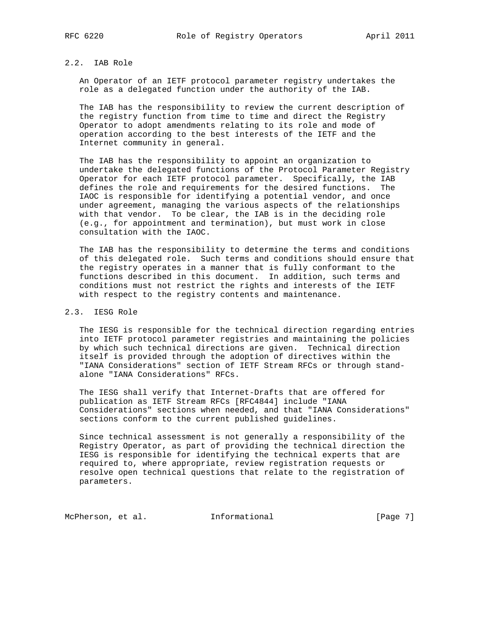# 2.2. IAB Role

 An Operator of an IETF protocol parameter registry undertakes the role as a delegated function under the authority of the IAB.

 The IAB has the responsibility to review the current description of the registry function from time to time and direct the Registry Operator to adopt amendments relating to its role and mode of operation according to the best interests of the IETF and the Internet community in general.

 The IAB has the responsibility to appoint an organization to undertake the delegated functions of the Protocol Parameter Registry Operator for each IETF protocol parameter. Specifically, the IAB defines the role and requirements for the desired functions. The IAOC is responsible for identifying a potential vendor, and once under agreement, managing the various aspects of the relationships with that vendor. To be clear, the IAB is in the deciding role (e.g., for appointment and termination), but must work in close consultation with the IAOC.

 The IAB has the responsibility to determine the terms and conditions of this delegated role. Such terms and conditions should ensure that the registry operates in a manner that is fully conformant to the functions described in this document. In addition, such terms and conditions must not restrict the rights and interests of the IETF with respect to the registry contents and maintenance.

## 2.3. IESG Role

 The IESG is responsible for the technical direction regarding entries into IETF protocol parameter registries and maintaining the policies by which such technical directions are given. Technical direction itself is provided through the adoption of directives within the "IANA Considerations" section of IETF Stream RFCs or through stand alone "IANA Considerations" RFCs.

 The IESG shall verify that Internet-Drafts that are offered for publication as IETF Stream RFCs [RFC4844] include "IANA Considerations" sections when needed, and that "IANA Considerations" sections conform to the current published guidelines.

 Since technical assessment is not generally a responsibility of the Registry Operator, as part of providing the technical direction the IESG is responsible for identifying the technical experts that are required to, where appropriate, review registration requests or resolve open technical questions that relate to the registration of parameters.

McPherson, et al. Informational [Page 7]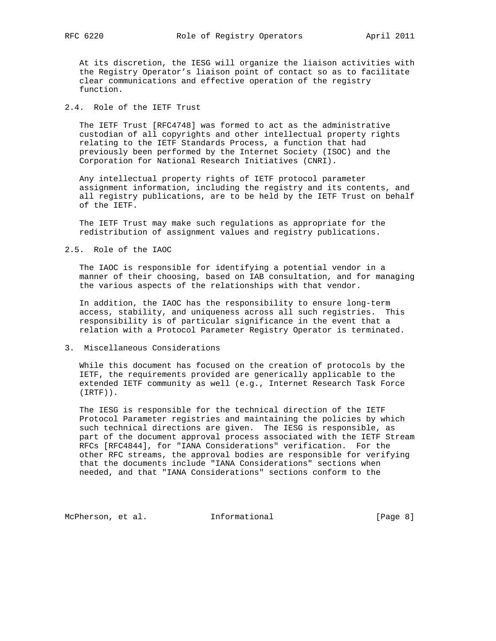At its discretion, the IESG will organize the liaison activities with the Registry Operator's liaison point of contact so as to facilitate clear communications and effective operation of the registry function.

2.4. Role of the IETF Trust

 The IETF Trust [RFC4748] was formed to act as the administrative custodian of all copyrights and other intellectual property rights relating to the IETF Standards Process, a function that had previously been performed by the Internet Society (ISOC) and the Corporation for National Research Initiatives (CNRI).

 Any intellectual property rights of IETF protocol parameter assignment information, including the registry and its contents, and all registry publications, are to be held by the IETF Trust on behalf of the IETF.

 The IETF Trust may make such regulations as appropriate for the redistribution of assignment values and registry publications.

#### 2.5. Role of the IAOC

 The IAOC is responsible for identifying a potential vendor in a manner of their choosing, based on IAB consultation, and for managing the various aspects of the relationships with that vendor.

 In addition, the IAOC has the responsibility to ensure long-term access, stability, and uniqueness across all such registries. This responsibility is of particular significance in the event that a relation with a Protocol Parameter Registry Operator is terminated.

#### 3. Miscellaneous Considerations

 While this document has focused on the creation of protocols by the IETF, the requirements provided are generically applicable to the extended IETF community as well (e.g., Internet Research Task Force (IRTF)).

 The IESG is responsible for the technical direction of the IETF Protocol Parameter registries and maintaining the policies by which such technical directions are given. The IESG is responsible, as part of the document approval process associated with the IETF Stream RFCs [RFC4844], for "IANA Considerations" verification. For the other RFC streams, the approval bodies are responsible for verifying that the documents include "IANA Considerations" sections when needed, and that "IANA Considerations" sections conform to the

McPherson, et al. 1nformational 1999 [Page 8]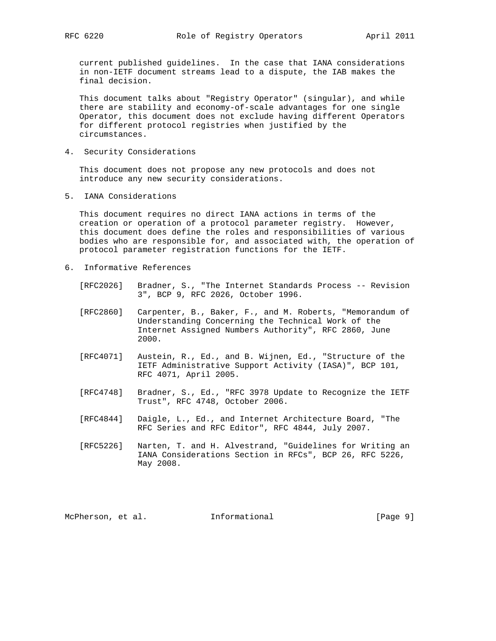current published guidelines. In the case that IANA considerations in non-IETF document streams lead to a dispute, the IAB makes the final decision.

 This document talks about "Registry Operator" (singular), and while there are stability and economy-of-scale advantages for one single Operator, this document does not exclude having different Operators for different protocol registries when justified by the circumstances.

4. Security Considerations

 This document does not propose any new protocols and does not introduce any new security considerations.

5. IANA Considerations

 This document requires no direct IANA actions in terms of the creation or operation of a protocol parameter registry. However, this document does define the roles and responsibilities of various bodies who are responsible for, and associated with, the operation of protocol parameter registration functions for the IETF.

- 6. Informative References
	- [RFC2026] Bradner, S., "The Internet Standards Process -- Revision 3", BCP 9, RFC 2026, October 1996.
	- [RFC2860] Carpenter, B., Baker, F., and M. Roberts, "Memorandum of Understanding Concerning the Technical Work of the Internet Assigned Numbers Authority", RFC 2860, June 2000.
	- [RFC4071] Austein, R., Ed., and B. Wijnen, Ed., "Structure of the IETF Administrative Support Activity (IASA)", BCP 101, RFC 4071, April 2005.
	- [RFC4748] Bradner, S., Ed., "RFC 3978 Update to Recognize the IETF Trust", RFC 4748, October 2006.
	- [RFC4844] Daigle, L., Ed., and Internet Architecture Board, "The RFC Series and RFC Editor", RFC 4844, July 2007.
	- [RFC5226] Narten, T. and H. Alvestrand, "Guidelines for Writing an IANA Considerations Section in RFCs", BCP 26, RFC 5226, May 2008.

McPherson, et al. Informational [Page 9]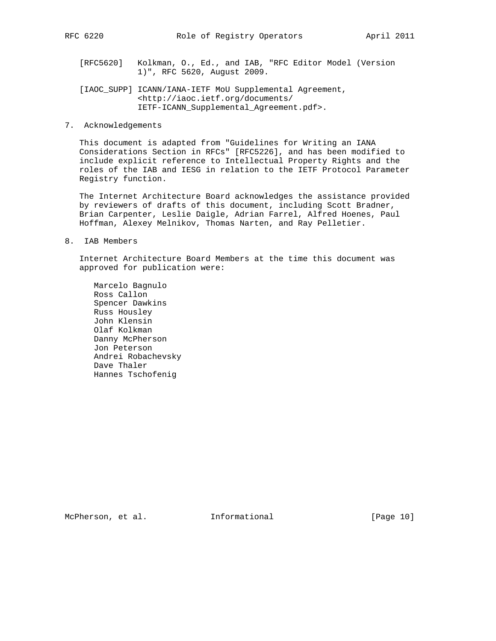- [RFC5620] Kolkman, O., Ed., and IAB, "RFC Editor Model (Version 1)", RFC 5620, August 2009.
- [IAOC\_SUPP] ICANN/IANA-IETF MoU Supplemental Agreement, <http://iaoc.ietf.org/documents/ IETF-ICANN\_Supplemental\_Agreement.pdf>.
- 7. Acknowledgements

 This document is adapted from "Guidelines for Writing an IANA Considerations Section in RFCs" [RFC5226], and has been modified to include explicit reference to Intellectual Property Rights and the roles of the IAB and IESG in relation to the IETF Protocol Parameter Registry function.

 The Internet Architecture Board acknowledges the assistance provided by reviewers of drafts of this document, including Scott Bradner, Brian Carpenter, Leslie Daigle, Adrian Farrel, Alfred Hoenes, Paul Hoffman, Alexey Melnikov, Thomas Narten, and Ray Pelletier.

8. IAB Members

 Internet Architecture Board Members at the time this document was approved for publication were:

 Marcelo Bagnulo Ross Callon Spencer Dawkins Russ Housley John Klensin Olaf Kolkman Danny McPherson Jon Peterson Andrei Robachevsky Dave Thaler Hannes Tschofenig

McPherson, et al. Informational [Page 10]